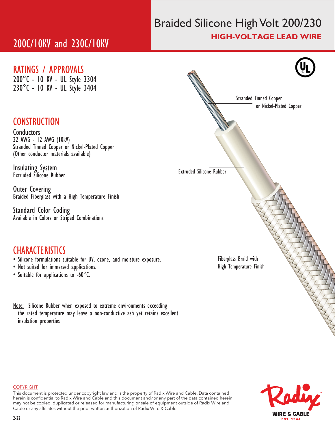# 200C/10KV and 230C/10KV

## Braided Silicone High Volt 200/230 HIGH-VOLTAGE LEAD WIRE

### RATINGS / APPROVALS

200°C - 10 KV - UL Style 3304 230°C - 10 KV - UL Style 3404

## **CONSTRUCTION**

Conductors 22 AWG - 12 AWG (10kV) Stranded Tinned Copper or Nickel-Plated Copper (Other conductor materials available)

Insulating System Extruded Silicone Rubber

Outer Covering Braided Fiberglass with a High Temperature Finish

Standard Color Coding Available in Colors or Striped Combinations

## **CHARACTERISTICS**

- Silicone formulations suitable for UV, ozone, and moisture exposure.
- Not suited for immersed applications.
- Suitable for applications to -60°C.

Note: Silicone Rubber when exposed to extreme environments exceeding the rated temperature may leave a non-conductive ash yet retains excellent insulation properties





#### **COPYRIGHT**

This document is protected under copyright law and is the property of Radix Wire and Cable. Data contained herein is confidential to Radix Wire and Cable and this document and / or any part of the data contained herein may not be copied, duplicated or released for manufacturing or sale of equipment outside of Radix Wire and Cable or any affiliates without the prior written authorization of Radix Wire & Cable.